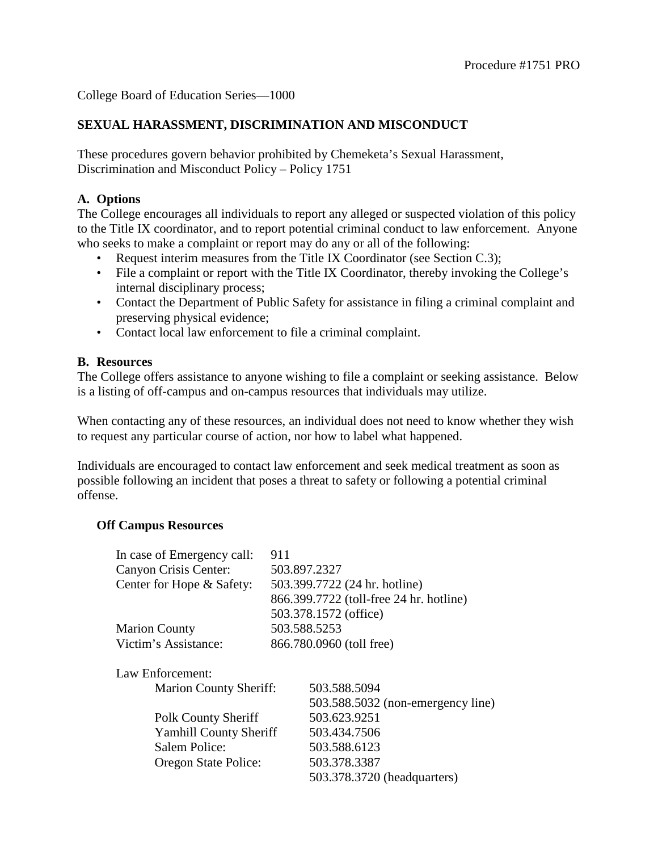## **SEXUAL HARASSMENT, DISCRIMINATION AND MISCONDUCT**

These procedures govern behavior prohibited by Chemeketa's Sexual Harassment, Discrimination and Misconduct Policy – Policy 1751

## **A. Options**

The College encourages all individuals to report any alleged or suspected violation of this policy to the Title IX coordinator, and to report potential criminal conduct to law enforcement. Anyone who seeks to make a complaint or report may do any or all of the following:

- Request interim measures from the Title IX Coordinator (see Section C.3);
- File a complaint or report with the Title IX Coordinator, thereby invoking the College's internal disciplinary process;
- Contact the Department of Public Safety for assistance in filing a criminal complaint and preserving physical evidence;
- Contact local law enforcement to file a criminal complaint.

### **B. Resources**

The College offers assistance to anyone wishing to file a complaint or seeking assistance. Below is a listing of off-campus and on-campus resources that individuals may utilize.

When contacting any of these resources, an individual does not need to know whether they wish to request any particular course of action, nor how to label what happened.

Individuals are encouraged to contact law enforcement and seek medical treatment as soon as possible following an incident that poses a threat to safety or following a potential criminal offense.

#### **Off Campus Resources**

| In case of Emergency call:    | 911                                     |                                   |  |
|-------------------------------|-----------------------------------------|-----------------------------------|--|
| Canyon Crisis Center:         |                                         | 503.897.2327                      |  |
| Center for Hope & Safety:     | 503.399.7722 (24 hr. hotline)           |                                   |  |
|                               | 866.399.7722 (toll-free 24 hr. hotline) |                                   |  |
|                               | 503.378.1572 (office)                   |                                   |  |
| <b>Marion County</b>          |                                         | 503.588.5253                      |  |
| Victim's Assistance:          | 866.780.0960 (toll free)                |                                   |  |
| Law Enforcement:              |                                         |                                   |  |
| <b>Marion County Sheriff:</b> |                                         | 503.588.5094                      |  |
|                               |                                         | 503.588.5032 (non-emergency line) |  |
| <b>Polk County Sheriff</b>    |                                         | 503.623.9251                      |  |
| <b>Yamhill County Sheriff</b> |                                         | 503.434.7506                      |  |
| Salem Police:                 |                                         | 503.588.6123                      |  |
| Oregon State Police:          |                                         | 503.378.3387                      |  |
|                               |                                         | 503.378.3720 (headquarters)       |  |
|                               |                                         |                                   |  |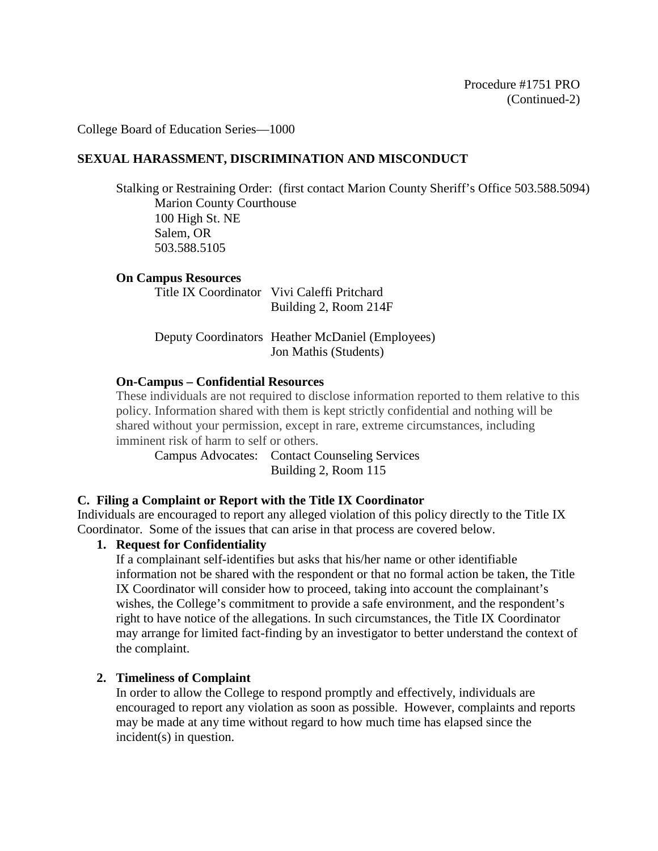## **SEXUAL HARASSMENT, DISCRIMINATION AND MISCONDUCT**

Stalking or Restraining Order: (first contact Marion County Sheriff's Office 503.588.5094) Marion County Courthouse 100 High St. NE Salem, OR 503.588.5105

**On Campus Resources**

Title IX Coordinator Vivi Caleffi Pritchard Building 2, Room 214F

Deputy Coordinators Heather McDaniel (Employees) Jon Mathis (Students)

### **On-Campus – Confidential Resources**

These individuals are not required to disclose information reported to them relative to this policy. Information shared with them is kept strictly confidential and nothing will be shared without your permission, except in rare, extreme circumstances, including imminent risk of harm to self or others.

Campus Advocates: Contact Counseling Services Building 2, Room 115

## **C. Filing a Complaint or Report with the Title IX Coordinator**

Individuals are encouraged to report any alleged violation of this policy directly to the Title IX Coordinator. Some of the issues that can arise in that process are covered below.

## **1. Request for Confidentiality**

If a complainant self-identifies but asks that his/her name or other identifiable information not be shared with the respondent or that no formal action be taken, the Title IX Coordinator will consider how to proceed, taking into account the complainant's wishes, the College's commitment to provide a safe environment, and the respondent's right to have notice of the allegations. In such circumstances, the Title IX Coordinator may arrange for limited fact-finding by an investigator to better understand the context of the complaint.

#### **2. Timeliness of Complaint**

In order to allow the College to respond promptly and effectively, individuals are encouraged to report any violation as soon as possible. However, complaints and reports may be made at any time without regard to how much time has elapsed since the incident(s) in question.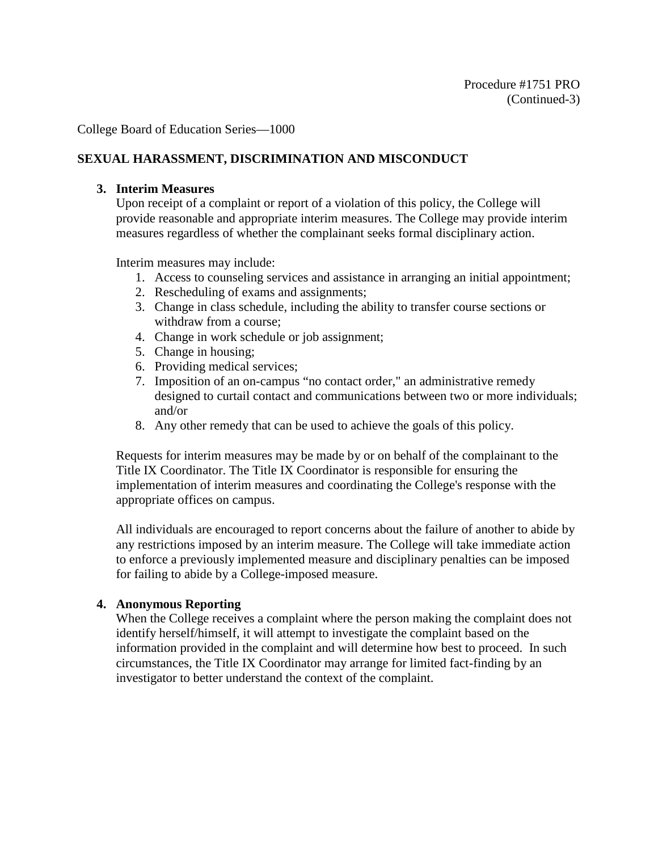# **SEXUAL HARASSMENT, DISCRIMINATION AND MISCONDUCT**

### **3. Interim Measures**

Upon receipt of a complaint or report of a violation of this policy, the College will provide reasonable and appropriate interim measures. The College may provide interim measures regardless of whether the complainant seeks formal disciplinary action.

Interim measures may include:

- 1. Access to counseling services and assistance in arranging an initial appointment;
- 2. Rescheduling of exams and assignments;
- 3. Change in class schedule, including the ability to transfer course sections or withdraw from a course;
- 4. Change in work schedule or job assignment;
- 5. Change in housing;
- 6. Providing medical services;
- 7. Imposition of an on-campus "no contact order," an administrative remedy designed to curtail contact and communications between two or more individuals; and/or
- 8. Any other remedy that can be used to achieve the goals of this policy.

Requests for interim measures may be made by or on behalf of the complainant to the Title IX Coordinator. The Title IX Coordinator is responsible for ensuring the implementation of interim measures and coordinating the College's response with the appropriate offices on campus.

All individuals are encouraged to report concerns about the failure of another to abide by any restrictions imposed by an interim measure. The College will take immediate action to enforce a previously implemented measure and disciplinary penalties can be imposed for failing to abide by a College-imposed measure.

## **4. Anonymous Reporting**

When the College receives a complaint where the person making the complaint does not identify herself/himself, it will attempt to investigate the complaint based on the information provided in the complaint and will determine how best to proceed. In such circumstances, the Title IX Coordinator may arrange for limited fact-finding by an investigator to better understand the context of the complaint.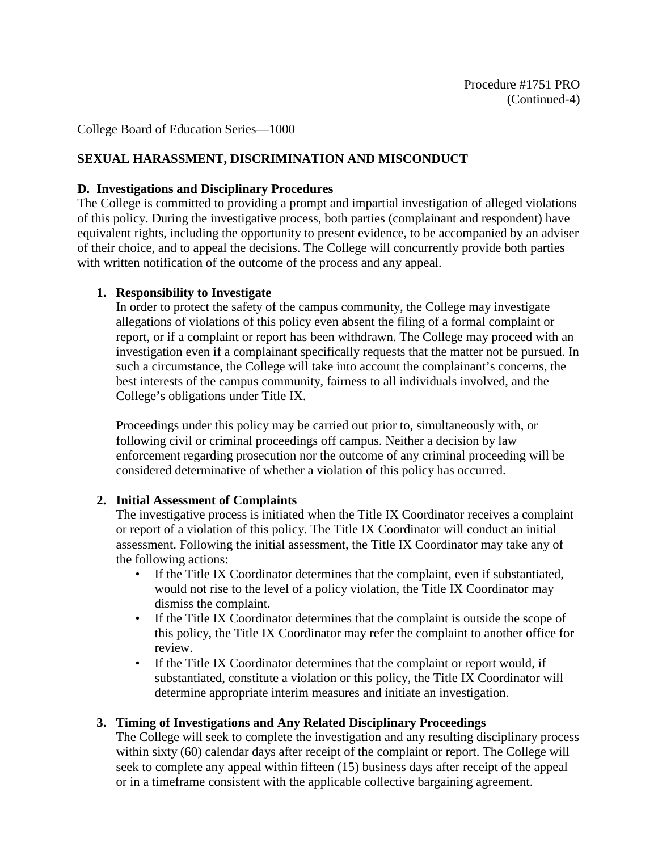# **SEXUAL HARASSMENT, DISCRIMINATION AND MISCONDUCT**

## **D. Investigations and Disciplinary Procedures**

The College is committed to providing a prompt and impartial investigation of alleged violations of this policy. During the investigative process, both parties (complainant and respondent) have equivalent rights, including the opportunity to present evidence, to be accompanied by an adviser of their choice, and to appeal the decisions. The College will concurrently provide both parties with written notification of the outcome of the process and any appeal.

## **1. Responsibility to Investigate**

In order to protect the safety of the campus community, the College may investigate allegations of violations of this policy even absent the filing of a formal complaint or report, or if a complaint or report has been withdrawn. The College may proceed with an investigation even if a complainant specifically requests that the matter not be pursued. In such a circumstance, the College will take into account the complainant's concerns, the best interests of the campus community, fairness to all individuals involved, and the College's obligations under Title IX.

Proceedings under this policy may be carried out prior to, simultaneously with, or following civil or criminal proceedings off campus. Neither a decision by law enforcement regarding prosecution nor the outcome of any criminal proceeding will be considered determinative of whether a violation of this policy has occurred.

## **2. Initial Assessment of Complaints**

The investigative process is initiated when the Title IX Coordinator receives a complaint or report of a violation of this policy. The Title IX Coordinator will conduct an initial assessment. Following the initial assessment, the Title IX Coordinator may take any of the following actions:

- If the Title IX Coordinator determines that the complaint, even if substantiated, would not rise to the level of a policy violation, the Title IX Coordinator may dismiss the complaint.
- If the Title IX Coordinator determines that the complaint is outside the scope of this policy, the Title IX Coordinator may refer the complaint to another office for review.
- If the Title IX Coordinator determines that the complaint or report would, if substantiated, constitute a violation or this policy, the Title IX Coordinator will determine appropriate interim measures and initiate an investigation.

## **3. Timing of Investigations and Any Related Disciplinary Proceedings**

The College will seek to complete the investigation and any resulting disciplinary process within sixty (60) calendar days after receipt of the complaint or report. The College will seek to complete any appeal within fifteen (15) business days after receipt of the appeal or in a timeframe consistent with the applicable collective bargaining agreement.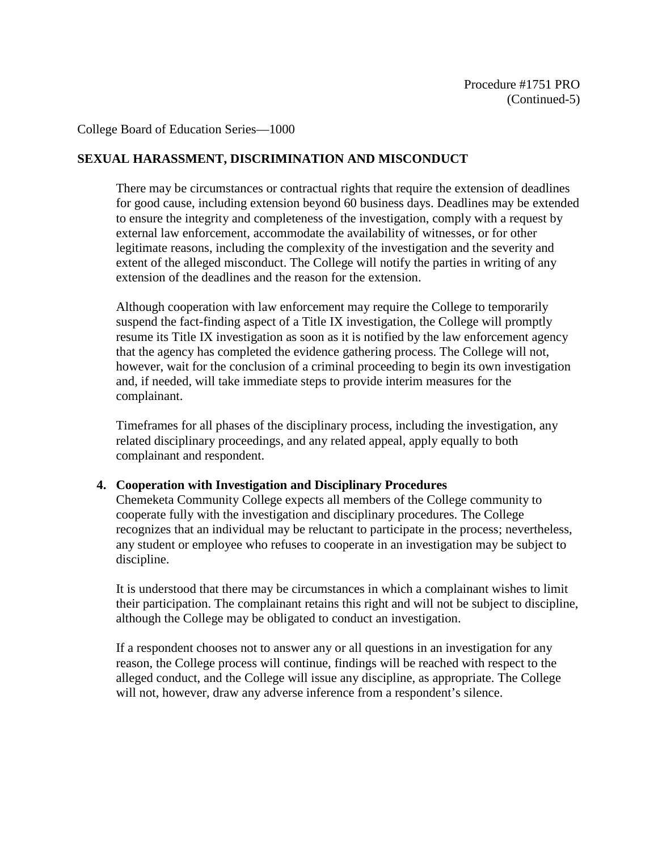## **SEXUAL HARASSMENT, DISCRIMINATION AND MISCONDUCT**

There may be circumstances or contractual rights that require the extension of deadlines for good cause, including extension beyond 60 business days. Deadlines may be extended to ensure the integrity and completeness of the investigation, comply with a request by external law enforcement, accommodate the availability of witnesses, or for other legitimate reasons, including the complexity of the investigation and the severity and extent of the alleged misconduct. The College will notify the parties in writing of any extension of the deadlines and the reason for the extension.

Although cooperation with law enforcement may require the College to temporarily suspend the fact-finding aspect of a Title IX investigation, the College will promptly resume its Title IX investigation as soon as it is notified by the law enforcement agency that the agency has completed the evidence gathering process. The College will not, however, wait for the conclusion of a criminal proceeding to begin its own investigation and, if needed, will take immediate steps to provide interim measures for the complainant.

Timeframes for all phases of the disciplinary process, including the investigation, any related disciplinary proceedings, and any related appeal, apply equally to both complainant and respondent.

#### **4. Cooperation with Investigation and Disciplinary Procedures**

Chemeketa Community College expects all members of the College community to cooperate fully with the investigation and disciplinary procedures. The College recognizes that an individual may be reluctant to participate in the process; nevertheless, any student or employee who refuses to cooperate in an investigation may be subject to discipline.

It is understood that there may be circumstances in which a complainant wishes to limit their participation. The complainant retains this right and will not be subject to discipline, although the College may be obligated to conduct an investigation.

If a respondent chooses not to answer any or all questions in an investigation for any reason, the College process will continue, findings will be reached with respect to the alleged conduct, and the College will issue any discipline, as appropriate. The College will not, however, draw any adverse inference from a respondent's silence.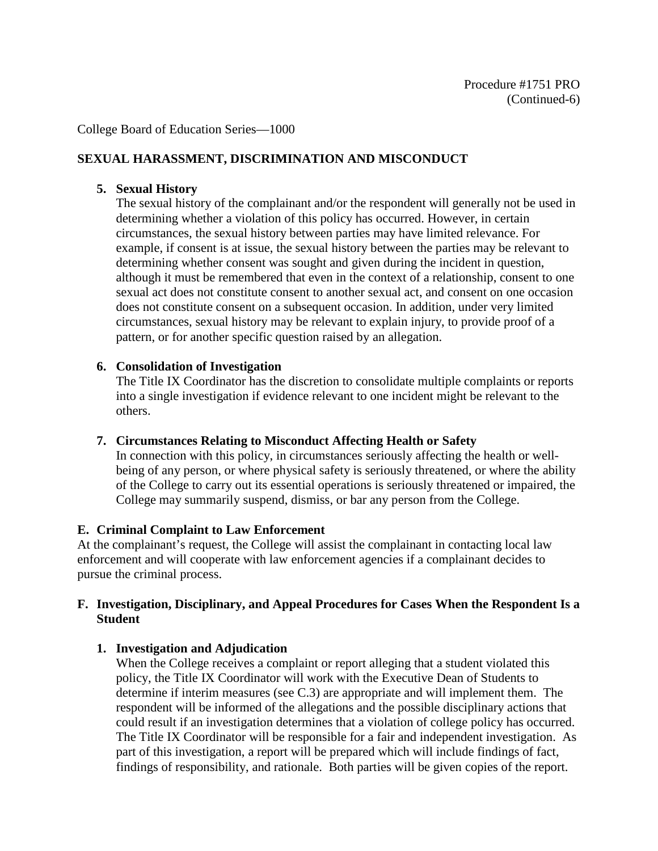## **SEXUAL HARASSMENT, DISCRIMINATION AND MISCONDUCT**

### **5. Sexual History**

The sexual history of the complainant and/or the respondent will generally not be used in determining whether a violation of this policy has occurred. However, in certain circumstances, the sexual history between parties may have limited relevance. For example, if consent is at issue, the sexual history between the parties may be relevant to determining whether consent was sought and given during the incident in question, although it must be remembered that even in the context of a relationship, consent to one sexual act does not constitute consent to another sexual act, and consent on one occasion does not constitute consent on a subsequent occasion. In addition, under very limited circumstances, sexual history may be relevant to explain injury, to provide proof of a pattern, or for another specific question raised by an allegation.

### **6. Consolidation of Investigation**

The Title IX Coordinator has the discretion to consolidate multiple complaints or reports into a single investigation if evidence relevant to one incident might be relevant to the others.

#### **7. Circumstances Relating to Misconduct Affecting Health or Safety**

In connection with this policy, in circumstances seriously affecting the health or wellbeing of any person, or where physical safety is seriously threatened, or where the ability of the College to carry out its essential operations is seriously threatened or impaired, the College may summarily suspend, dismiss, or bar any person from the College.

#### **E. Criminal Complaint to Law Enforcement**

At the complainant's request, the College will assist the complainant in contacting local law enforcement and will cooperate with law enforcement agencies if a complainant decides to pursue the criminal process.

### **F. Investigation, Disciplinary, and Appeal Procedures for Cases When the Respondent Is a Student**

## **1. Investigation and Adjudication**

When the College receives a complaint or report alleging that a student violated this policy, the Title IX Coordinator will work with the Executive Dean of Students to determine if interim measures (see C.3) are appropriate and will implement them. The respondent will be informed of the allegations and the possible disciplinary actions that could result if an investigation determines that a violation of college policy has occurred. The Title IX Coordinator will be responsible for a fair and independent investigation. As part of this investigation, a report will be prepared which will include findings of fact, findings of responsibility, and rationale. Both parties will be given copies of the report.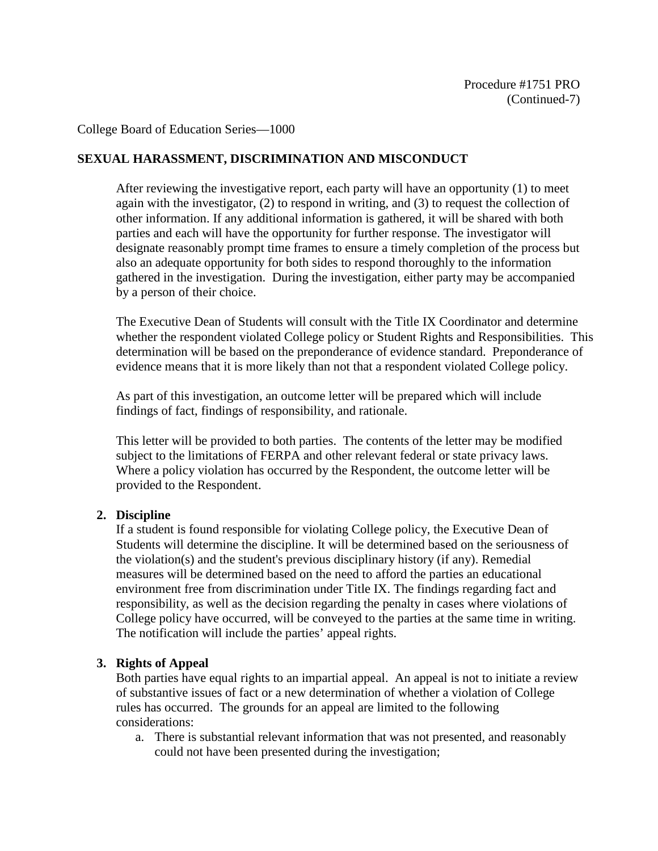## **SEXUAL HARASSMENT, DISCRIMINATION AND MISCONDUCT**

After reviewing the investigative report, each party will have an opportunity (1) to meet again with the investigator, (2) to respond in writing, and (3) to request the collection of other information. If any additional information is gathered, it will be shared with both parties and each will have the opportunity for further response. The investigator will designate reasonably prompt time frames to ensure a timely completion of the process but also an adequate opportunity for both sides to respond thoroughly to the information gathered in the investigation. During the investigation, either party may be accompanied by a person of their choice.

The Executive Dean of Students will consult with the Title IX Coordinator and determine whether the respondent violated College policy or Student Rights and Responsibilities. This determination will be based on the preponderance of evidence standard. Preponderance of evidence means that it is more likely than not that a respondent violated College policy.

As part of this investigation, an outcome letter will be prepared which will include findings of fact, findings of responsibility, and rationale.

This letter will be provided to both parties. The contents of the letter may be modified subject to the limitations of FERPA and other relevant federal or state privacy laws. Where a policy violation has occurred by the Respondent, the outcome letter will be provided to the Respondent.

#### **2. Discipline**

If a student is found responsible for violating College policy, the Executive Dean of Students will determine the discipline. It will be determined based on the seriousness of the violation(s) and the student's previous disciplinary history (if any). Remedial measures will be determined based on the need to afford the parties an educational environment free from discrimination under Title IX. The findings regarding fact and responsibility, as well as the decision regarding the penalty in cases where violations of College policy have occurred, will be conveyed to the parties at the same time in writing. The notification will include the parties' appeal rights.

#### **3. Rights of Appeal**

Both parties have equal rights to an impartial appeal. An appeal is not to initiate a review of substantive issues of fact or a new determination of whether a violation of College rules has occurred. The grounds for an appeal are limited to the following considerations:

a. There is substantial relevant information that was not presented, and reasonably could not have been presented during the investigation;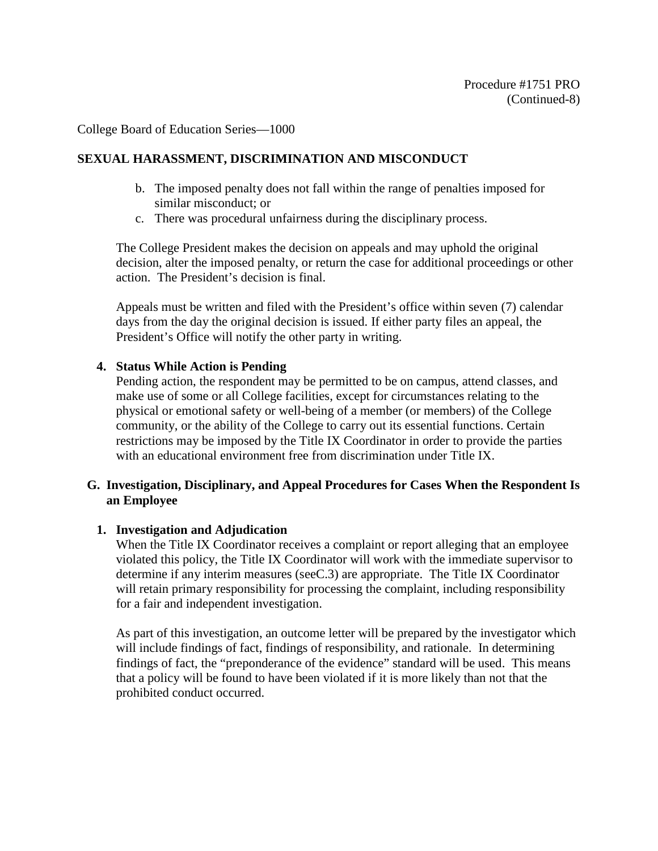## **SEXUAL HARASSMENT, DISCRIMINATION AND MISCONDUCT**

- b. The imposed penalty does not fall within the range of penalties imposed for similar misconduct; or
- c. There was procedural unfairness during the disciplinary process.

The College President makes the decision on appeals and may uphold the original decision, alter the imposed penalty, or return the case for additional proceedings or other action. The President's decision is final.

Appeals must be written and filed with the President's office within seven (7) calendar days from the day the original decision is issued. If either party files an appeal, the President's Office will notify the other party in writing.

### **4. Status While Action is Pending**

Pending action, the respondent may be permitted to be on campus, attend classes, and make use of some or all College facilities, except for circumstances relating to the physical or emotional safety or well-being of a member (or members) of the College community, or the ability of the College to carry out its essential functions. Certain restrictions may be imposed by the Title IX Coordinator in order to provide the parties with an educational environment free from discrimination under Title IX.

### **G. Investigation, Disciplinary, and Appeal Procedures for Cases When the Respondent Is an Employee**

#### **1. Investigation and Adjudication**

When the Title IX Coordinator receives a complaint or report alleging that an employee violated this policy, the Title IX Coordinator will work with the immediate supervisor to determine if any interim measures (seeC.3) are appropriate. The Title IX Coordinator will retain primary responsibility for processing the complaint, including responsibility for a fair and independent investigation.

As part of this investigation, an outcome letter will be prepared by the investigator which will include findings of fact, findings of responsibility, and rationale. In determining findings of fact, the "preponderance of the evidence" standard will be used. This means that a policy will be found to have been violated if it is more likely than not that the prohibited conduct occurred.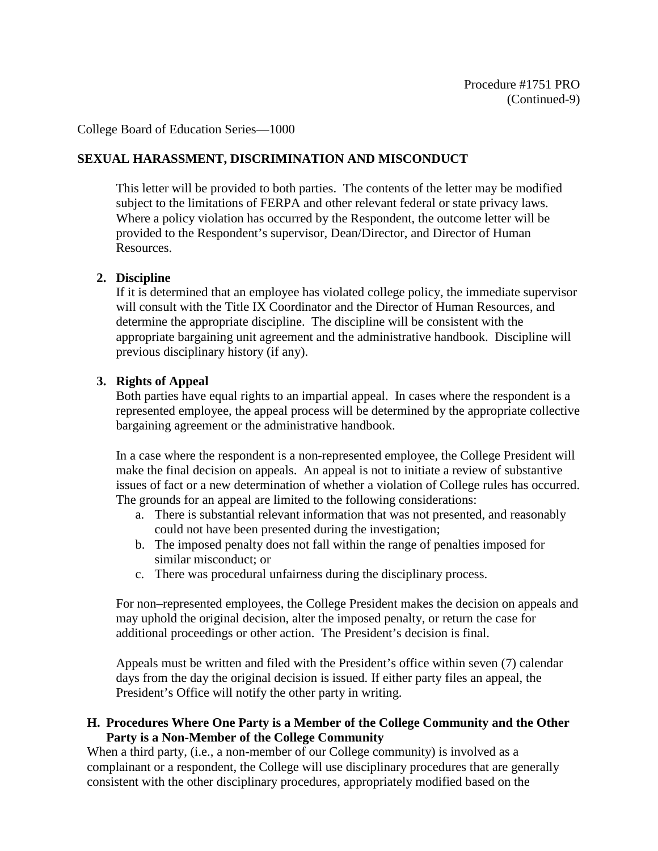## **SEXUAL HARASSMENT, DISCRIMINATION AND MISCONDUCT**

This letter will be provided to both parties. The contents of the letter may be modified subject to the limitations of FERPA and other relevant federal or state privacy laws. Where a policy violation has occurred by the Respondent, the outcome letter will be provided to the Respondent's supervisor, Dean/Director, and Director of Human Resources.

#### **2. Discipline**

If it is determined that an employee has violated college policy, the immediate supervisor will consult with the Title IX Coordinator and the Director of Human Resources, and determine the appropriate discipline. The discipline will be consistent with the appropriate bargaining unit agreement and the administrative handbook. Discipline will previous disciplinary history (if any).

#### **3. Rights of Appeal**

Both parties have equal rights to an impartial appeal. In cases where the respondent is a represented employee, the appeal process will be determined by the appropriate collective bargaining agreement or the administrative handbook.

In a case where the respondent is a non-represented employee, the College President will make the final decision on appeals. An appeal is not to initiate a review of substantive issues of fact or a new determination of whether a violation of College rules has occurred. The grounds for an appeal are limited to the following considerations:

- a. There is substantial relevant information that was not presented, and reasonably could not have been presented during the investigation;
- b. The imposed penalty does not fall within the range of penalties imposed for similar misconduct; or
- c. There was procedural unfairness during the disciplinary process.

For non–represented employees, the College President makes the decision on appeals and may uphold the original decision, alter the imposed penalty, or return the case for additional proceedings or other action. The President's decision is final.

Appeals must be written and filed with the President's office within seven (7) calendar days from the day the original decision is issued. If either party files an appeal, the President's Office will notify the other party in writing.

#### **H. Procedures Where One Party is a Member of the College Community and the Other Party is a Non-Member of the College Community**

When a third party, (i.e., a non-member of our College community) is involved as a complainant or a respondent, the College will use disciplinary procedures that are generally consistent with the other disciplinary procedures, appropriately modified based on the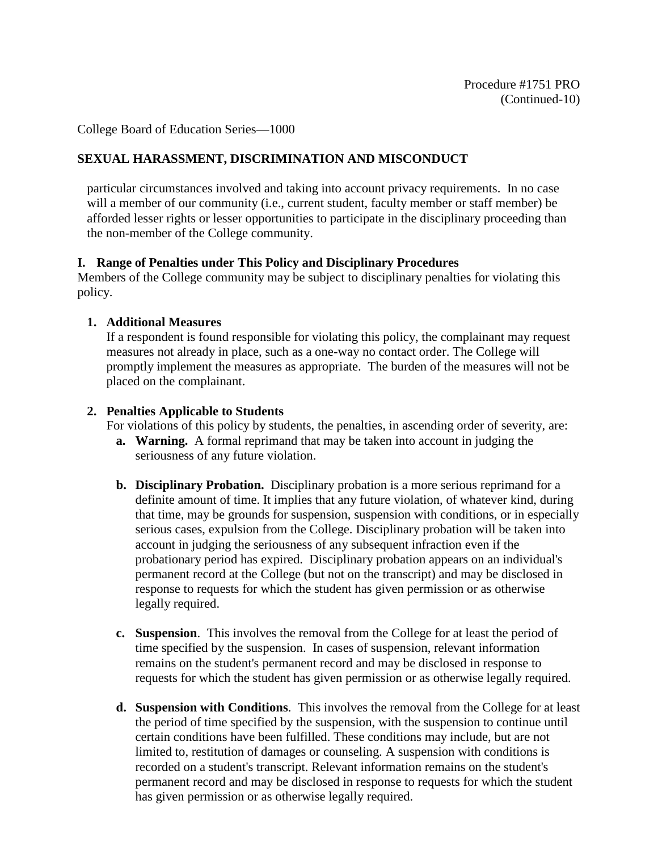## **SEXUAL HARASSMENT, DISCRIMINATION AND MISCONDUCT**

particular circumstances involved and taking into account privacy requirements. In no case will a member of our community (i.e., current student, faculty member or staff member) be afforded lesser rights or lesser opportunities to participate in the disciplinary proceeding than the non-member of the College community.

### **I. Range of Penalties under This Policy and Disciplinary Procedures**

Members of the College community may be subject to disciplinary penalties for violating this policy.

### **1. Additional Measures**

If a respondent is found responsible for violating this policy, the complainant may request measures not already in place, such as a one-way no contact order. The College will promptly implement the measures as appropriate. The burden of the measures will not be placed on the complainant.

### **2. Penalties Applicable to Students**

For violations of this policy by students, the penalties, in ascending order of severity, are:

- **a. Warning.** A formal reprimand that may be taken into account in judging the seriousness of any future violation.
- **b. Disciplinary Probation.** Disciplinary probation is a more serious reprimand for a definite amount of time. It implies that any future violation, of whatever kind, during that time, may be grounds for suspension, suspension with conditions, or in especially serious cases, expulsion from the College. Disciplinary probation will be taken into account in judging the seriousness of any subsequent infraction even if the probationary period has expired. Disciplinary probation appears on an individual's permanent record at the College (but not on the transcript) and may be disclosed in response to requests for which the student has given permission or as otherwise legally required.
- **c. Suspension**. This involves the removal from the College for at least the period of time specified by the suspension. In cases of suspension, relevant information remains on the student's permanent record and may be disclosed in response to requests for which the student has given permission or as otherwise legally required.
- **d. Suspension with Conditions**. This involves the removal from the College for at least the period of time specified by the suspension, with the suspension to continue until certain conditions have been fulfilled. These conditions may include, but are not limited to, restitution of damages or counseling. A suspension with conditions is recorded on a student's transcript. Relevant information remains on the student's permanent record and may be disclosed in response to requests for which the student has given permission or as otherwise legally required.